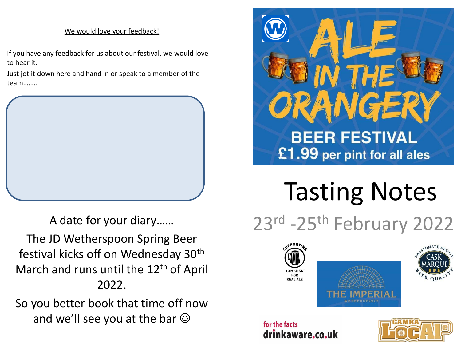# We would love your feedback!

If you have any feedback for us about our festival, we would love to hear it.

Just jot it down here and hand in or speak to a member of the team……..



A date for your diary……

The JD Wetherspoon Spring Beer festival kicks off on Wednesday 30th March and runs until the 12<sup>th</sup> of April 2022.

So you better book that time off now and we'll see you at the bar  $\odot$ 



# Tasting Notes

23rd -25th February 2022



# for the facts drinkaware.co.uk